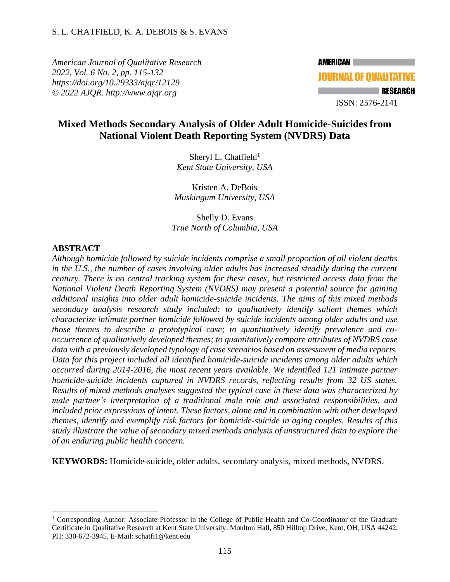*American Journal of Qualitative Research 2022, Vol. 6 No. 2, pp. 115-132 <https://doi.org/10.29333/ajqr/12129> © 2022 AJQR. http://www.ajqr.org*



## **Mixed Methods Secondary Analysis of Older Adult Homicide-Suicides from National Violent Death Reporting System (NVDRS) Data**

Sheryl L. Chatfield<sup>1</sup> *Kent State University, USA*

Kristen A. DeBois *Muskingum University, USA*

Shelly D. Evans *True North of Columbia, USA*

## **ABSTRACT**

*Although homicide followed by suicide incidents comprise a small proportion of all violent deaths in the U.S., the number of cases involving older adults has increased steadily during the current century. There is no central tracking system for these cases, but restricted access data from the National Violent Death Reporting System (NVDRS) may present a potential source for gaining additional insights into older adult homicide-suicide incidents. The aims of this mixed methods secondary analysis research study included: to qualitatively identify salient themes which characterize intimate partner homicide followed by suicide incidents among older adults and use those themes to describe a prototypical case; to quantitatively identify prevalence and cooccurrence of qualitatively developed themes; to quantitatively compare attributes of NVDRS case data with a previously developed typology of case scenarios based on assessment of media reports. Data for this project included all identified homicide-suicide incidents among older adults which occurred during 2014-2016, the most recent years available. We identified 121 intimate partner homicide-suicide incidents captured in NVDRS records, reflecting results from 32 US states. Results of mixed methods analyses suggested the typical case in these data was characterized by male partner's interpretation of a traditional male role and associated responsibilities, and included prior expressions of intent. These factors, alone and in combination with other developed themes, identify and exemplify risk factors for homicide-suicide in aging couples. Results of this study illustrate the value of secondary mixed methods analysis of unstructured data to explore the of an enduring public health concern.* 

**KEYWORDS:** Homicide-suicide, older adults, secondary analysis, mixed methods, NVDRS.

<sup>&</sup>lt;sup>1</sup> Corresponding Author: Associate Professor in the College of Public Health and Co-Coordinator of the Graduate Certificate in Qualitative Research at Kent State University. Moulton Hall, 850 Hilltop Drive, Kent, OH, USA 44242. PH: 330-672-3945. E-Mail: schatfi1@kent.edu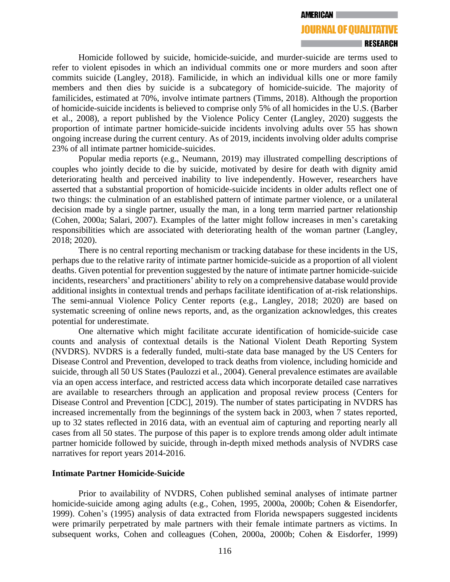#### **AMERICAN**

# **JOURNAL OF QUALITATIVE**

#### RESEARCH

Homicide followed by suicide, homicide-suicide, and murder-suicide are terms used to refer to violent episodes in which an individual commits one or more murders and soon after commits suicide (Langley, 2018). Familicide, in which an individual kills one or more family members and then dies by suicide is a subcategory of homicide-suicide. The majority of familicides, estimated at 70%, involve intimate partners (Timms, 2018). Although the proportion of homicide-suicide incidents is believed to comprise only 5% of all homicides in the U.S. (Barber et al., 2008), a report published by the Violence Policy Center (Langley, 2020) suggests the proportion of intimate partner homicide-suicide incidents involving adults over 55 has shown ongoing increase during the current century. As of 2019, incidents involving older adults comprise 23% of all intimate partner homicide-suicides.

Popular media reports (e.g., Neumann, 2019) may illustrated compelling descriptions of couples who jointly decide to die by suicide, motivated by desire for death with dignity amid deteriorating health and perceived inability to live independently. However, researchers have asserted that a substantial proportion of homicide-suicide incidents in older adults reflect one of two things: the culmination of an established pattern of intimate partner violence, or a unilateral decision made by a single partner, usually the man, in a long term married partner relationship (Cohen, 2000a; Salari, 2007). Examples of the latter might follow increases in men's caretaking responsibilities which are associated with deteriorating health of the woman partner (Langley, 2018; 2020).

There is no central reporting mechanism or tracking database for these incidents in the US, perhaps due to the relative rarity of intimate partner homicide-suicide as a proportion of all violent deaths. Given potential for prevention suggested by the nature of intimate partner homicide-suicide incidents, researchers' and practitioners' ability to rely on a comprehensive database would provide additional insights in contextual trends and perhaps facilitate identification of at-risk relationships. The semi-annual Violence Policy Center reports (e.g., Langley, 2018; 2020) are based on systematic screening of online news reports, and, as the organization acknowledges, this creates potential for underestimate.

One alternative which might facilitate accurate identification of homicide-suicide case counts and analysis of contextual details is the National Violent Death Reporting System (NVDRS). NVDRS is a federally funded, multi-state data base managed by the US Centers for Disease Control and Prevention, developed to track deaths from violence, including homicide and suicide, through all 50 US States (Paulozzi et al., 2004). General prevalence estimates are available via an open access interface, and restricted access data which incorporate detailed case narratives are available to researchers through an application and proposal review process (Centers for Disease Control and Prevention [CDC], 2019). The number of states participating in NVDRS has increased incrementally from the beginnings of the system back in 2003, when 7 states reported, up to 32 states reflected in 2016 data, with an eventual aim of capturing and reporting nearly all cases from all 50 states. The purpose of this paper is to explore trends among older adult intimate partner homicide followed by suicide, through in-depth mixed methods analysis of NVDRS case narratives for report years 2014-2016.

## **Intimate Partner Homicide-Suicide**

Prior to availability of NVDRS, Cohen published seminal analyses of intimate partner homicide-suicide among aging adults (e.g., Cohen, 1995, 2000a, 2000b; Cohen & Eisendorfer, 1999). Cohen's (1995) analysis of data extracted from Florida newspapers suggested incidents were primarily perpetrated by male partners with their female intimate partners as victims. In subsequent works, Cohen and colleagues (Cohen, 2000a, 2000b; Cohen & Eisdorfer, 1999)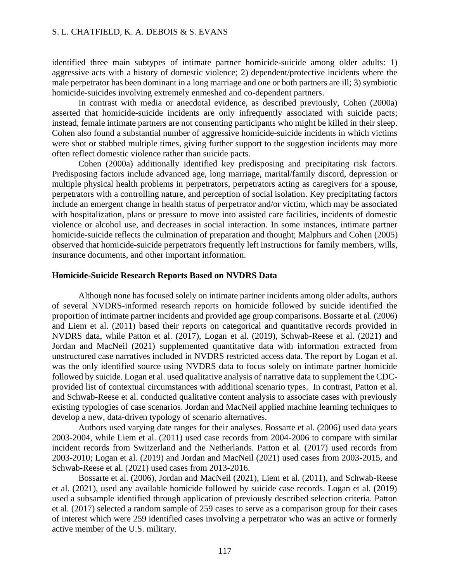identified three main subtypes of intimate partner homicide-suicide among older adults: 1) aggressive acts with a history of domestic violence; 2) dependent/protective incidents where the male perpetrator has been dominant in a long marriage and one or both partners are ill; 3) symbiotic homicide-suicides involving extremely enmeshed and co-dependent partners.

In contrast with media or anecdotal evidence, as described previously, Cohen (2000a) asserted that homicide-suicide incidents are only infrequently associated with suicide pacts; instead, female intimate partners are not consenting participants who might be killed in their sleep. Cohen also found a substantial number of aggressive homicide-suicide incidents in which victims were shot or stabbed multiple times, giving further support to the suggestion incidents may more often reflect domestic violence rather than suicide pacts.

Cohen (2000a) additionally identified key predisposing and precipitating risk factors. Predisposing factors include advanced age, long marriage, marital/family discord, depression or multiple physical health problems in perpetrators, perpetrators acting as caregivers for a spouse, perpetrators with a controlling nature, and perception of social isolation. Key precipitating factors include an emergent change in health status of perpetrator and/or victim, which may be associated with hospitalization, plans or pressure to move into assisted care facilities, incidents of domestic violence or alcohol use, and decreases in social interaction. In some instances, intimate partner homicide-suicide reflects the culmination of preparation and thought; Malphurs and Cohen (2005) observed that homicide-suicide perpetrators frequently left instructions for family members, wills, insurance documents, and other important information.

#### **Homicide-Suicide Research Reports Based on NVDRS Data**

Although none has focused solely on intimate partner incidents among older adults, authors of several NVDRS-informed research reports on homicide followed by suicide identified the proportion of intimate partner incidents and provided age group comparisons. Bossarte et al. (2006) and Liem et al. (2011) based their reports on categorical and quantitative records provided in NVDRS data, while Patton et al. (2017), Logan et al. (2019), Schwab-Reese et al. (2021) and Jordan and MacNeil (2021) supplemented quantitative data with information extracted from unstructured case narratives included in NVDRS restricted access data. The report by Logan et al. was the only identified source using NVDRS data to focus solely on intimate partner homicide followed by suicide. Logan et al. used qualitative analysis of narrative data to supplement the CDCprovided list of contextual circumstances with additional scenario types. In contrast, Patton et al. and Schwab-Reese et al. conducted qualitative content analysis to associate cases with previously existing typologies of case scenarios. Jordan and MacNeil applied machine learning techniques to develop a new, data-driven typology of scenario alternatives.

Authors used varying date ranges for their analyses. Bossarte et al. (2006) used data years 2003-2004, while Liem et al. (2011) used case records from 2004-2006 to compare with similar incident records from Switzerland and the Netherlands. Patton et al. (2017) used records from 2003-2010; Logan et al. (2019) and Jordan and MacNeil (2021) used cases from 2003-2015, and Schwab-Reese et al. (2021) used cases from 2013-2016.

Bossarte et al. (2006), Jordan and MacNeil (2021), Liem et al. (2011), and Schwab-Reese et al. (2021), used any available homicide followed by suicide case records. Logan et al. (2019) used a subsample identified through application of previously described selection criteria. Patton et al. (2017) selected a random sample of 259 cases to serve as a comparison group for their cases of interest which were 259 identified cases involving a perpetrator who was an active or formerly active member of the U.S. military.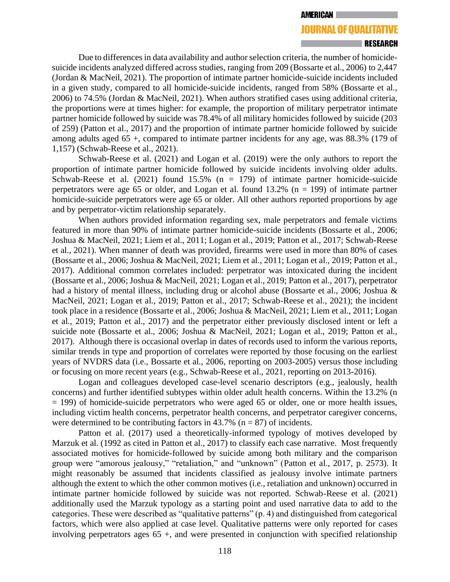#### **AMERICAN**

## **JOURNAL OF QUALITATIVE**

#### RESEARCH

Due to differences in data availability and author selection criteria, the number of homicidesuicide incidents analyzed differed across studies, ranging from 209 (Bossarte et al., 2006) to 2,447 (Jordan & MacNeil, 2021). The proportion of intimate partner homicide-suicide incidents included in a given study, compared to all homicide-suicide incidents, ranged from 58% (Bossarte et al., 2006) to 74.5% (Jordan & MacNeil, 2021). When authors stratified cases using additional criteria, the proportions were at times higher: for example, the proportion of military perpetrator intimate partner homicide followed by suicide was 78.4% of all military homicides followed by suicide (203 of 259) (Patton et al., 2017) and the proportion of intimate partner homicide followed by suicide among adults aged 65 +, compared to intimate partner incidents for any age, was 88.3% (179 of 1,157) (Schwab-Reese et al., 2021).

Schwab-Reese et al. (2021) and Logan et al. (2019) were the only authors to report the proportion of intimate partner homicide followed by suicide incidents involving older adults. Schwab-Reese et al. (2021) found 15.5% (n = 179) of intimate partner homicide-suicide perpetrators were age 65 or older, and Logan et al. found  $13.2\%$  (n = 199) of intimate partner homicide-suicide perpetrators were age 65 or older. All other authors reported proportions by age and by perpetrator-victim relationship separately.

When authors provided information regarding sex, male perpetrators and female victims featured in more than 90% of intimate partner homicide-suicide incidents (Bossarte et al., 2006; Joshua & MacNeil, 2021; Liem et al., 2011; Logan et al., 2019; Patton et al., 2017; Schwab-Reese et al., 2021). When manner of death was provided, firearms were used in more than 80% of cases (Bossarte et al., 2006; Joshua & MacNeil, 2021; Liem et al., 2011; Logan et al., 2019; Patton et al., 2017). Additional common correlates included: perpetrator was intoxicated during the incident (Bossarte et al., 2006; Joshua & MacNeil, 2021; Logan et al., 2019; Patton et al., 2017), perpetrator had a history of mental illness, including drug or alcohol abuse (Bossarte et al., 2006; Joshua & MacNeil, 2021; Logan et al., 2019; Patton et al., 2017; Schwab-Reese et al., 2021); the incident took place in a residence (Bossarte et al., 2006; Joshua & MacNeil, 2021; Liem et al., 2011; Logan et al., 2019; Patton et al., 2017) and the perpetrator either previously disclosed intent or left a suicide note (Bossarte et al., 2006; Joshua & MacNeil, 2021; Logan et al., 2019; Patton et al., 2017). Although there is occasional overlap in dates of records used to inform the various reports, similar trends in type and proportion of correlates were reported by those focusing on the earliest years of NVDRS data (i.e., Bossarte et al., 2006, reporting on 2003-2005) versus those including or focusing on more recent years (e.g., Schwab-Reese et al., 2021, reporting on 2013-2016).

Logan and colleagues developed case-level scenario descriptors (e.g., jealously, health concerns) and further identified subtypes within older adult health concerns. Within the 13.2% (n = 199) of homicide-suicide perpetrators who were aged 65 or older, one or more health issues, including victim health concerns, perpetrator health concerns, and perpetrator caregiver concerns, were determined to be contributing factors in  $43.7\%$  (n = 87) of incidents.

Patton et al. (2017) used a theoretically-informed typology of motives developed by Marzuk et al. (1992 as cited in Patton et al., 2017) to classify each case narrative. Most frequently associated motives for homicide-followed by suicide among both military and the comparison group were "amorous jealousy," "retaliation," and "unknown" (Patton et al., 2017, p. 2573). It might reasonably be assumed that incidents classified as jealousy involve intimate partners although the extent to which the other common motives (i.e., retaliation and unknown) occurred in intimate partner homicide followed by suicide was not reported. Schwab-Reese et al. (2021) additionally used the Marzuk typology as a starting point and used narrative data to add to the categories. These were described as "qualitative patterns" (p. 4) and distinguished from categorical factors, which were also applied at case level. Qualitative patterns were only reported for cases involving perpetrators ages 65 +, and were presented in conjunction with specified relationship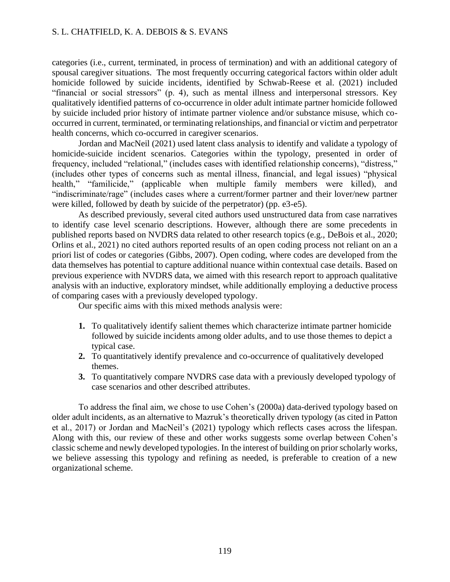categories (i.e., current, terminated, in process of termination) and with an additional category of spousal caregiver situations. The most frequently occurring categorical factors within older adult homicide followed by suicide incidents, identified by Schwab-Reese et al. (2021) included "financial or social stressors" (p. 4), such as mental illness and interpersonal stressors. Key qualitatively identified patterns of co-occurrence in older adult intimate partner homicide followed by suicide included prior history of intimate partner violence and/or substance misuse, which cooccurred in current, terminated, or terminating relationships, and financial or victim and perpetrator health concerns, which co-occurred in caregiver scenarios.

Jordan and MacNeil (2021) used latent class analysis to identify and validate a typology of homicide-suicide incident scenarios. Categories within the typology, presented in order of frequency, included "relational," (includes cases with identified relationship concerns), "distress," (includes other types of concerns such as mental illness, financial, and legal issues) "physical health," "familicide," (applicable when multiple family members were killed), and "indiscriminate/rage" (includes cases where a current/former partner and their lover/new partner were killed, followed by death by suicide of the perpetrator) (pp. e3-e5).

As described previously, several cited authors used unstructured data from case narratives to identify case level scenario descriptions. However, although there are some precedents in published reports based on NVDRS data related to other research topics (e.g., DeBois et al., 2020; Orlins et al., 2021) no cited authors reported results of an open coding process not reliant on an a priori list of codes or categories (Gibbs, 2007). Open coding, where codes are developed from the data themselves has potential to capture additional nuance within contextual case details. Based on previous experience with NVDRS data, we aimed with this research report to approach qualitative analysis with an inductive, exploratory mindset, while additionally employing a deductive process of comparing cases with a previously developed typology.

Our specific aims with this mixed methods analysis were:

- **1.** To qualitatively identify salient themes which characterize intimate partner homicide followed by suicide incidents among older adults, and to use those themes to depict a typical case.
- **2.** To quantitatively identify prevalence and co-occurrence of qualitatively developed themes.
- **3.** To quantitatively compare NVDRS case data with a previously developed typology of case scenarios and other described attributes.

To address the final aim, we chose to use Cohen's (2000a) data-derived typology based on older adult incidents, as an alternative to Mazruk's theoretically driven typology (as cited in Patton et al., 2017) or Jordan and MacNeil's (2021) typology which reflects cases across the lifespan. Along with this, our review of these and other works suggests some overlap between Cohen's classic scheme and newly developed typologies. In the interest of building on prior scholarly works, we believe assessing this typology and refining as needed, is preferable to creation of a new organizational scheme.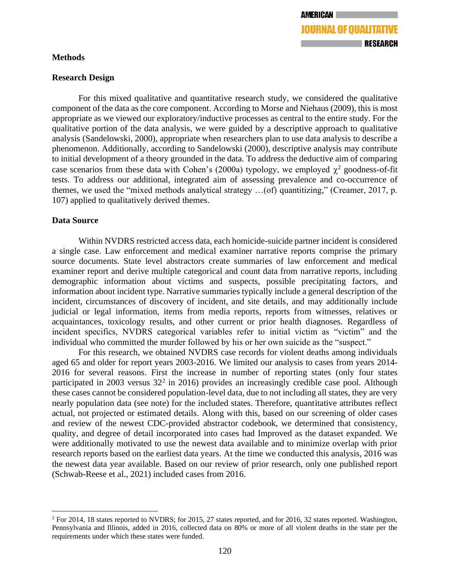## **Methods**

## **Research Design**

For this mixed qualitative and quantitative research study, we considered the qualitative component of the data as the core component. According to Morse and Niehaus (2009), this is most appropriate as we viewed our exploratory/inductive processes as central to the entire study. For the qualitative portion of the data analysis, we were guided by a descriptive approach to qualitative analysis (Sandelowski, 2000), appropriate when researchers plan to use data analysis to describe a phenomenon. Additionally, according to Sandelowski (2000), descriptive analysis may contribute to initial development of a theory grounded in the data. To address the deductive aim of comparing case scenarios from these data with Cohen's (2000a) typology, we employed  $\chi^2$  goodness-of-fit tests. To address our additional, integrated aim of assessing prevalence and co-occurrence of themes, we used the "mixed methods analytical strategy …(of) quantitizing," (Creamer, 2017, p. 107) applied to qualitatively derived themes.

## **Data Source**

Within NVDRS restricted access data, each homicide-suicide partner incident is considered a single case. Law enforcement and medical examiner narrative reports comprise the primary source documents. State level abstractors create summaries of law enforcement and medical examiner report and derive multiple categorical and count data from narrative reports, including demographic information about victims and suspects, possible precipitating factors, and information about incident type. Narrative summaries typically include a general description of the incident, circumstances of discovery of incident, and site details, and may additionally include judicial or legal information, items from media reports, reports from witnesses, relatives or acquaintances, toxicology results, and other current or prior health diagnoses. Regardless of incident specifics, NVDRS categorical variables refer to initial victim as "victim" and the individual who committed the murder followed by his or her own suicide as the "suspect."

For this research, we obtained NVDRS case records for violent deaths among individuals aged 65 and older for report years 2003-2016. We limited our analysis to cases from years 2014- 2016 for several reasons. First the increase in number of reporting states (only four states participated in 2003 versus  $32<sup>2</sup>$  in 2016) provides an increasingly credible case pool. Although these cases cannot be considered population-level data, due to not including all states, they are very nearly population data (see note) for the included states. Therefore, quantitative attributes reflect actual, not projected or estimated details. Along with this, based on our screening of older cases and review of the newest CDC-provided abstractor codebook, we determined that consistency, quality, and degree of detail incorporated into cases had Improved as the dataset expanded. We were additionally motivated to use the newest data available and to minimize overlap with prior research reports based on the earliest data years. At the time we conducted this analysis, 2016 was the newest data year available. Based on our review of prior research, only one published report (Schwab-Reese et al., 2021) included cases from 2016.

<sup>&</sup>lt;sup>2</sup> For 2014, 18 states reported to NVDRS; for 2015, 27 states reported, and for 2016, 32 states reported. Washington, Pennsylvania and Illinois, added in 2016, collected data on 80% or more of all violent deaths in the state per the requirements under which these states were funded.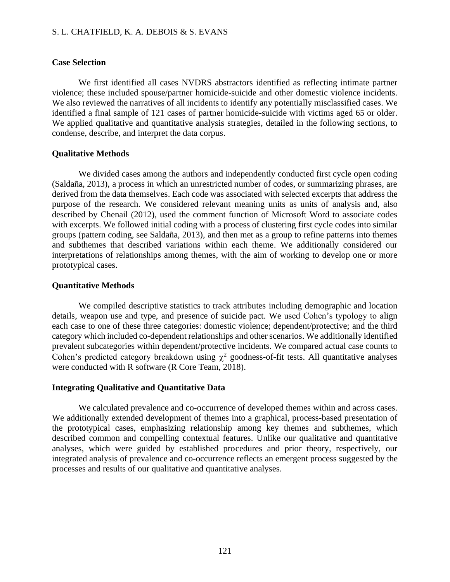#### **Case Selection**

We first identified all cases NVDRS abstractors identified as reflecting intimate partner violence; these included spouse/partner homicide-suicide and other domestic violence incidents. We also reviewed the narratives of all incidents to identify any potentially misclassified cases. We identified a final sample of 121 cases of partner homicide-suicide with victims aged 65 or older. We applied qualitative and quantitative analysis strategies, detailed in the following sections, to condense, describe, and interpret the data corpus.

## **Qualitative Methods**

We divided cases among the authors and independently conducted first cycle open coding (Saldaña, 2013), a process in which an unrestricted number of codes, or summarizing phrases, are derived from the data themselves. Each code was associated with selected excerpts that address the purpose of the research. We considered relevant meaning units as units of analysis and, also described by Chenail (2012), used the comment function of Microsoft Word to associate codes with excerpts. We followed initial coding with a process of clustering first cycle codes into similar groups (pattern coding, see Saldaña, 2013), and then met as a group to refine patterns into themes and subthemes that described variations within each theme. We additionally considered our interpretations of relationships among themes, with the aim of working to develop one or more prototypical cases.

## **Quantitative Methods**

We compiled descriptive statistics to track attributes including demographic and location details, weapon use and type, and presence of suicide pact. We used Cohen's typology to align each case to one of these three categories: domestic violence; dependent/protective; and the third category which included co-dependent relationships and other scenarios. We additionally identified prevalent subcategories within dependent/protective incidents. We compared actual case counts to Cohen's predicted category breakdown using  $\chi^2$  goodness-of-fit tests. All quantitative analyses were conducted with R software (R Core Team, 2018).

#### **Integrating Qualitative and Quantitative Data**

We calculated prevalence and co-occurrence of developed themes within and across cases. We additionally extended development of themes into a graphical, process-based presentation of the prototypical cases, emphasizing relationship among key themes and subthemes, which described common and compelling contextual features. Unlike our qualitative and quantitative analyses, which were guided by established procedures and prior theory, respectively, our integrated analysis of prevalence and co-occurrence reflects an emergent process suggested by the processes and results of our qualitative and quantitative analyses.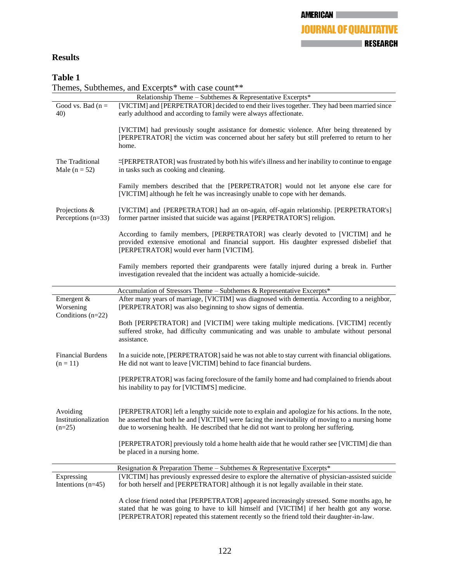## **AMERICAN JOURNAL OF QUALITATIVE EXECUTIVE STATE IN PRESEARCH**

## **Results**

## **Table 1**

Themes, Subthemes, and Excerpts\* with case count\*\*

| Relationship Theme - Subthemes & Representative Excerpts* |                                                                                                                                                                                                                                                                                             |  |
|-----------------------------------------------------------|---------------------------------------------------------------------------------------------------------------------------------------------------------------------------------------------------------------------------------------------------------------------------------------------|--|
| Good vs. Bad ( $n =$<br>40)                               | [VICTIM] and [PERPETRATOR] decided to end their lives together. They had been married since<br>early adulthood and according to family were always affectionate.                                                                                                                            |  |
|                                                           | [VICTIM] had previously sought assistance for domestic violence. After being threatened by<br>[PERPETRATOR] the victim was concerned about her safety but still preferred to return to her<br>home.                                                                                         |  |
| The Traditional<br>Male ( $n = 52$ )                      | "[PERPETRATOR] was frustrated by both his wife's illness and her inability to continue to engage<br>in tasks such as cooking and cleaning.                                                                                                                                                  |  |
|                                                           | Family members described that the [PERPETRATOR] would not let anyone else care for<br>[VICTIM] although he felt he was increasingly unable to cope with her demands.                                                                                                                        |  |
| Projections &<br>Perceptions $(n=33)$                     | [VICTIM] and {PERPETRATOR] had an on-again, off-again relationship. [PERPETRATOR's]<br>former partner insisted that suicide was against [PERPETRATOR'S] religion.                                                                                                                           |  |
|                                                           | According to family members, [PERPETRATOR] was clearly devoted to [VICTIM] and he<br>provided extensive emotional and financial support. His daughter expressed disbelief that<br>[PERPETRATOR] would ever harm [VICTIM].                                                                   |  |
|                                                           | Family members reported their grandparents were fatally injured during a break in. Further<br>investigation revealed that the incident was actually a homicide-suicide.                                                                                                                     |  |
|                                                           | Accumulation of Stressors Theme - Subthemes & Representative Excerpts*                                                                                                                                                                                                                      |  |
| Emergent &<br>Worsening<br>Conditions (n=22)              | After many years of marriage, [VICTIM] was diagnosed with dementia. According to a neighbor,<br>[PERPETRATOR] was also beginning to show signs of dementia.                                                                                                                                 |  |
|                                                           | Both [PERPETRATOR] and [VICTIM] were taking multiple medications. [VICTIM] recently<br>suffered stroke, had difficulty communicating and was unable to ambulate without personal<br>assistance.                                                                                             |  |
| <b>Financial Burdens</b><br>$(n = 11)$                    | In a suicide note, [PERPETRATOR] said he was not able to stay current with financial obligations.<br>He did not want to leave [VICTIM] behind to face financial burdens.                                                                                                                    |  |
|                                                           | [PERPETRATOR] was facing foreclosure of the family home and had complained to friends about<br>his inability to pay for [VICTIM'S] medicine.                                                                                                                                                |  |
| Avoiding<br>Institutionalization<br>$(n=25)$              | [PERPETRATOR] left a lengthy suicide note to explain and apologize for his actions. In the note,<br>he asserted that both he and [VICTIM] were facing the inevitability of moving to a nursing home<br>due to worsening health. He described that he did not want to prolong her suffering. |  |
|                                                           | [PERPETRATOR] previously told a home health aide that he would rather see [VICTIM] die than<br>be placed in a nursing home.                                                                                                                                                                 |  |
|                                                           | Resignation & Preparation Theme - Subthemes & Representative Excerpts*                                                                                                                                                                                                                      |  |
| Expressing<br>Intentions $(n=45)$                         | [VICTIM] has previously expressed desire to explore the alternative of physician-assisted suicide<br>for both herself and [PERPETRATOR] although it is not legally available in their state.                                                                                                |  |
|                                                           | A close friend noted that [PERPETRATOR] appeared increasingly stressed. Some months ago, he<br>stated that he was going to have to kill himself and [VICTIM] if her health got any worse.<br>[PERPETRATOR] repeated this statement recently so the friend told their daughter-in-law.       |  |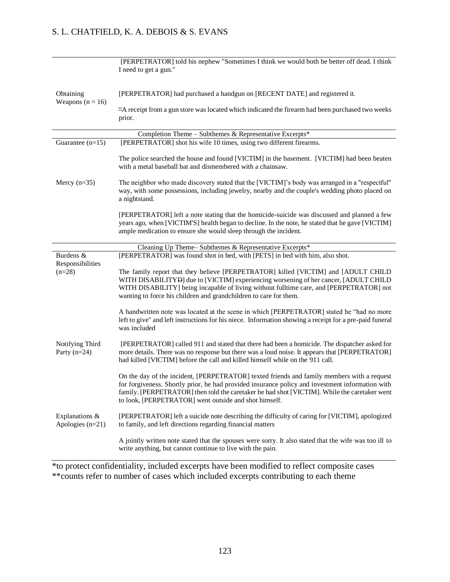|                                                                           | [PERPETRATOR] told his nephew "Sometimes I think we would both be better off dead. I think<br>I need to get a gun."                                                                                                                                                                                                                                     |  |
|---------------------------------------------------------------------------|---------------------------------------------------------------------------------------------------------------------------------------------------------------------------------------------------------------------------------------------------------------------------------------------------------------------------------------------------------|--|
| Obtaining<br>Weapons $(n = 16)$                                           | [PERPETRATOR] had purchased a handgun on [RECENT DATE] and registered it.                                                                                                                                                                                                                                                                               |  |
|                                                                           | "A receipt from a gun store was located which indicated the firearm had been purchased two weeks<br>prior.                                                                                                                                                                                                                                              |  |
|                                                                           | Completion Theme - Subthemes & Representative Excerpts*                                                                                                                                                                                                                                                                                                 |  |
| Guarantee $(n=15)$                                                        | [PERPETRATOR] shot his wife 10 times, using two different firearms.                                                                                                                                                                                                                                                                                     |  |
| Mercy $(n=35)$                                                            | The police searched the house and found [VICTIM] in the basement. [VICTIM] had been beaten<br>with a metal baseball bat and dismembered with a chainsaw.                                                                                                                                                                                                |  |
|                                                                           | The neighbor who made discovery stated that the [VICTIM]'s body was arranged in a "respectful"<br>way, with some possessions, including jewelry, nearby and the couple's wedding photo placed on<br>a nightstand.                                                                                                                                       |  |
|                                                                           | [PERPETRATOR] left a note stating that the homicide-suicide was discussed and planned a few<br>years ago, when [VICTIM'S] health began to decline. In the note, he stated that he gave [VICTIM]<br>ample medication to ensure she would sleep through the incident.                                                                                     |  |
|                                                                           | Cleaning Up Theme-Subthemes & Representative Excerpts*                                                                                                                                                                                                                                                                                                  |  |
| Burdens &                                                                 | [PERPETRATOR] was found shot in bed, with [PETS] in bed with him, also shot.                                                                                                                                                                                                                                                                            |  |
| Responsibilities<br>$(n=28)$                                              | The family report that they believe [PERPETRATOR] killed [VICTIM] and [ADULT CHILD<br>WITH DISABILITYD] due to [VICTIM] experiencing worsening of her cancer, [ADULT CHILD<br>WITH DISABILITY] being incapable of living without fulltime care, and [PERPETRATOR] not<br>wanting to force his children and grandchildren to care for them.              |  |
|                                                                           | A handwritten note was located at the scene in which [PERPETRATOR] stated he "had no more<br>left to give" and left instructions for his niece. Information showing a receipt for a pre-paid funeral<br>was included                                                                                                                                    |  |
| Notifying Third<br>Party $(n=24)$<br>Explanations &<br>Apologies $(n=21)$ | [PERPETRATOR] called 911 and stated that there had been a homicide. The dispatcher asked for<br>more details. There was no response but there was a loud noise. It appears that [PERPETRATOR]<br>had killed [VICTIM] before the call and killed himself while on the 911 call.                                                                          |  |
|                                                                           | On the day of the incident, [PERPETRATOR] texted friends and family members with a request<br>for forgiveness. Shortly prior, he had provided insurance policy and investment information with<br>family. [PERPETRATOR] then told the caretaker he had shot [VICTIM]. While the caretaker went<br>to look, [PERPETRATOR] went outside and shot himself. |  |
|                                                                           | [PERPETRATOR] left a suicide note describing the difficulty of caring for [VICTIM], apologized<br>to family, and left directions regarding financial matters                                                                                                                                                                                            |  |
|                                                                           | A jointly written note stated that the spouses were sorry. It also stated that the wife was too ill to<br>write anything, but cannot continue to live with the pain.                                                                                                                                                                                    |  |

\*to protect confidentiality, included excerpts have been modified to reflect composite cases \*\*counts refer to number of cases which included excerpts contributing to each theme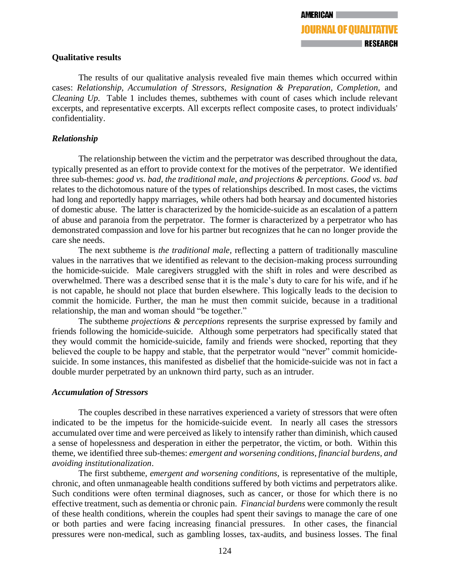## **Qualitative results**

The results of our qualitative analysis revealed five main themes which occurred within cases: *Relationship, Accumulation of Stressors, Resignation & Preparation, Completion,* and *Cleaning Up.* Table 1 includes themes, subthemes with count of cases which include relevant excerpts, and representative excerpts. All excerpts reflect composite cases, to protect individuals' confidentiality.

## *Relationship*

The relationship between the victim and the perpetrator was described throughout the data, typically presented as an effort to provide context for the motives of the perpetrator. We identified three sub-themes: *good vs. bad, the traditional male, and projections & perceptions. Good vs. bad*  relates to the dichotomous nature of the types of relationships described. In most cases, the victims had long and reportedly happy marriages, while others had both hearsay and documented histories of domestic abuse. The latter is characterized by the homicide-suicide as an escalation of a pattern of abuse and paranoia from the perpetrator. The former is characterized by a perpetrator who has demonstrated compassion and love for his partner but recognizes that he can no longer provide the care she needs.

The next subtheme is *the traditional male,* reflecting a pattern of traditionally masculine values in the narratives that we identified as relevant to the decision-making process surrounding the homicide-suicide. Male caregivers struggled with the shift in roles and were described as overwhelmed. There was a described sense that it is the male's duty to care for his wife, and if he is not capable, he should not place that burden elsewhere. This logically leads to the decision to commit the homicide. Further, the man he must then commit suicide, because in a traditional relationship, the man and woman should "be together."

The subtheme *projections & perceptions* represents the surprise expressed by family and friends following the homicide-suicide. Although some perpetrators had specifically stated that they would commit the homicide-suicide, family and friends were shocked, reporting that they believed the couple to be happy and stable, that the perpetrator would "never" commit homicidesuicide. In some instances, this manifested as disbelief that the homicide-suicide was not in fact a double murder perpetrated by an unknown third party, such as an intruder.

## *Accumulation of Stressors*

The couples described in these narratives experienced a variety of stressors that were often indicated to be the impetus for the homicide-suicide event. In nearly all cases the stressors accumulated over time and were perceived as likely to intensify rather than diminish, which caused a sense of hopelessness and desperation in either the perpetrator, the victim, or both. Within this theme, we identified three sub-themes: *emergent and worsening conditions, financial burdens, and avoiding institutionalization*.

The first subtheme, *emergent and worsening conditions,* is representative of the multiple, chronic, and often unmanageable health conditions suffered by both victims and perpetrators alike. Such conditions were often terminal diagnoses, such as cancer, or those for which there is no effective treatment, such as dementia or chronic pain. *Financial burdens* were commonly the result of these health conditions, wherein the couples had spent their savings to manage the care of one or both parties and were facing increasing financial pressures. In other cases, the financial pressures were non-medical, such as gambling losses, tax-audits, and business losses. The final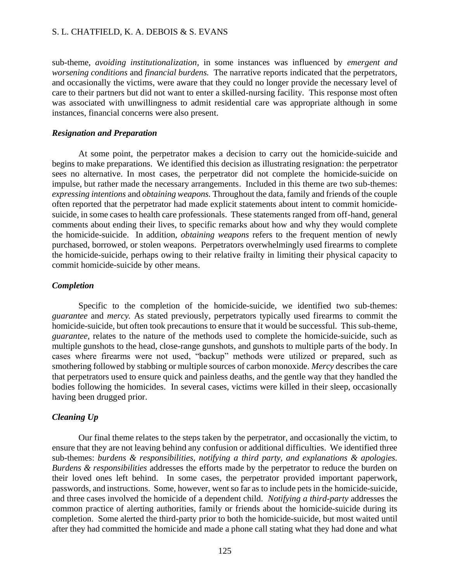sub-theme, *avoiding institutionalization,* in some instances was influenced by *emergent and worsening conditions* and *financial burdens.* The narrative reports indicated that the perpetrators, and occasionally the victims, were aware that they could no longer provide the necessary level of care to their partners but did not want to enter a skilled-nursing facility. This response most often was associated with unwillingness to admit residential care was appropriate although in some instances, financial concerns were also present.

#### *Resignation and Preparation*

At some point, the perpetrator makes a decision to carry out the homicide-suicide and begins to make preparations. We identified this decision as illustrating resignation: the perpetrator sees no alternative. In most cases, the perpetrator did not complete the homicide-suicide on impulse, but rather made the necessary arrangements. Included in this theme are two sub-themes: *expressing intentions* and *obtaining weapons.* Throughout the data, family and friends of the couple often reported that the perpetrator had made explicit statements about intent to commit homicidesuicide, in some cases to health care professionals. These statements ranged from off-hand, general comments about ending their lives, to specific remarks about how and why they would complete the homicide-suicide. In addition, *obtaining weapons* refers to the frequent mention of newly purchased, borrowed, or stolen weapons. Perpetrators overwhelmingly used firearms to complete the homicide-suicide, perhaps owing to their relative frailty in limiting their physical capacity to commit homicide-suicide by other means.

#### *Completion*

Specific to the completion of the homicide-suicide, we identified two sub-themes: *guarantee* and *mercy.* As stated previously, perpetrators typically used firearms to commit the homicide-suicide, but often took precautions to ensure that it would be successful. This sub-theme, *guarantee,* relates to the nature of the methods used to complete the homicide-suicide, such as multiple gunshots to the head, close-range gunshots, and gunshots to multiple parts of the body. In cases where firearms were not used, "backup" methods were utilized or prepared, such as smothering followed by stabbing or multiple sources of carbon monoxide. *Mercy* describes the care that perpetrators used to ensure quick and painless deaths, and the gentle way that they handled the bodies following the homicides. In several cases, victims were killed in their sleep, occasionally having been drugged prior.

#### *Cleaning Up*

Our final theme relates to the steps taken by the perpetrator, and occasionally the victim, to ensure that they are not leaving behind any confusion or additional difficulties. We identified three sub-themes: *burdens & responsibilities, notifying a third party, and explanations & apologies. Burdens & responsibilities* addresses the efforts made by the perpetrator to reduce the burden on their loved ones left behind. In some cases, the perpetrator provided important paperwork, passwords, and instructions. Some, however, went so far as to include pets in the homicide-suicide, and three cases involved the homicide of a dependent child. *Notifying a third-party* addresses the common practice of alerting authorities, family or friends about the homicide-suicide during its completion. Some alerted the third-party prior to both the homicide-suicide, but most waited until after they had committed the homicide and made a phone call stating what they had done and what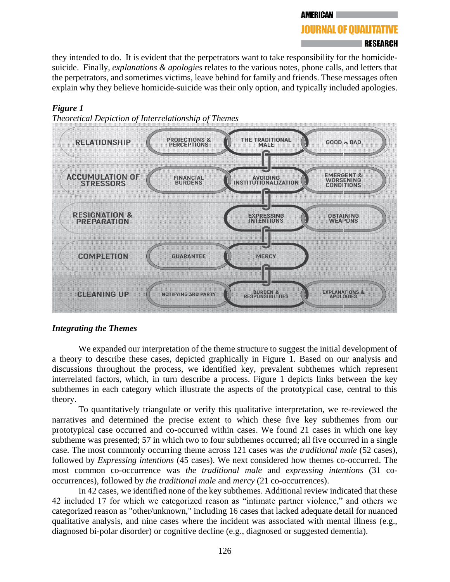#### **AMERICAN**

## **JOURNAL OF OUALITATIVE**

## **∣RESEARCH**

they intended to do. It is evident that the perpetrators want to take responsibility for the homicidesuicide. Finally, *explanations & apologies* relates to the various notes, phone calls, and letters that the perpetrators, and sometimes victims, leave behind for family and friends. These messages often explain why they believe homicide-suicide was their only option, and typically included apologies.

## *Figure 1*





## *Integrating the Themes*

We expanded our interpretation of the theme structure to suggest the initial development of a theory to describe these cases, depicted graphically in Figure 1. Based on our analysis and discussions throughout the process, we identified key, prevalent subthemes which represent interrelated factors, which, in turn describe a process. Figure 1 depicts links between the key subthemes in each category which illustrate the aspects of the prototypical case, central to this theory.

To quantitatively triangulate or verify this qualitative interpretation, we re-reviewed the narratives and determined the precise extent to which these five key subthemes from our prototypical case occurred and co-occurred within cases. We found 21 cases in which one key subtheme was presented; 57 in which two to four subthemes occurred; all five occurred in a single case. The most commonly occurring theme across 121 cases was *the traditional male* (52 cases), followed by *Expressing intentions* (45 cases). We next considered how themes co-occurred. The most common co-occurrence was *the traditional male* and *expressing intentions* (31 cooccurrences), followed by *the traditional male* and *mercy* (21 co-occurrences).

In 42 cases, we identified none of the key subthemes. Additional review indicated that these 42 included 17 for which we categorized reason as "intimate partner violence," and others we categorized reason as "other/unknown," including 16 cases that lacked adequate detail for nuanced qualitative analysis, and nine cases where the incident was associated with mental illness (e.g., diagnosed bi-polar disorder) or cognitive decline (e.g., diagnosed or suggested dementia).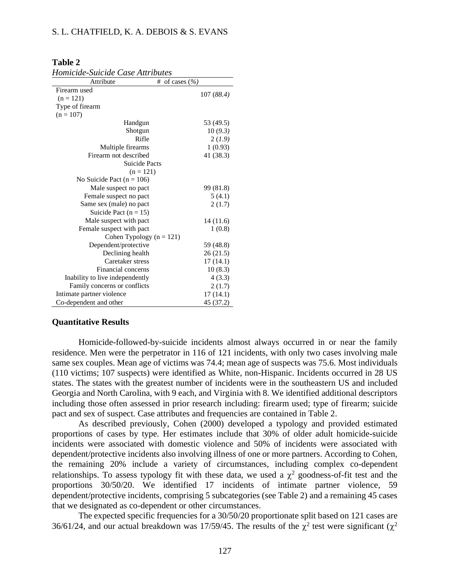#### **Table 2**

*Homicide-Suicide Case Attributes* 

| Attribute                       | # of cases $(\% )$ |
|---------------------------------|--------------------|
| Firearm used                    |                    |
| $(n = 121)$                     | 107 (88.4)         |
| Type of firearm                 |                    |
| $(n = 107)$                     |                    |
| Handgun                         | 53 (49.5)          |
| Shotgun                         | 10(9.3)            |
| Rifle                           | 2(1.9)             |
| Multiple firearms               | 1(0.93)            |
| Firearm not described           | 41 (38.3)          |
| <b>Suicide Pacts</b>            |                    |
| $(n = 121)$                     |                    |
| No Suicide Pact ( $n = 106$ )   |                    |
| Male suspect no pact            | 99 (81.8)          |
| Female suspect no pact          | 5(4.1)             |
| Same sex (male) no pact         | 2(1.7)             |
| Suicide Pact $(n = 15)$         |                    |
| Male suspect with pact          | 14 (11.6)          |
| Female suspect with pact        | 1(0.8)             |
| Cohen Typology $(n = 121)$      |                    |
| Dependent/protective            | 59 (48.8)          |
| Declining health                | 26(21.5)           |
| Caretaker stress                | 17(14.1)           |
| Financial concerns              | 10(8.3)            |
| Inability to live independently | 4(3.3)             |
| Family concerns or conflicts    | 2(1.7)             |
| Intimate partner violence       | 17(14.1)           |
| Co-dependent and other          | 45 (37.2)          |

#### **Quantitative Results**

Homicide-followed-by-suicide incidents almost always occurred in or near the family residence. Men were the perpetrator in 116 of 121 incidents, with only two cases involving male same sex couples. Mean age of victims was 74.4; mean age of suspects was 75.6. Most individuals (110 victims; 107 suspects) were identified as White, non-Hispanic. Incidents occurred in 28 US states. The states with the greatest number of incidents were in the southeastern US and included Georgia and North Carolina, with 9 each, and Virginia with 8. We identified additional descriptors including those often assessed in prior research including: firearm used; type of firearm; suicide pact and sex of suspect. Case attributes and frequencies are contained in Table 2.

As described previously, Cohen (2000) developed a typology and provided estimated proportions of cases by type. Her estimates include that 30% of older adult homicide-suicide incidents were associated with domestic violence and 50% of incidents were associated with dependent/protective incidents also involving illness of one or more partners. According to Cohen, the remaining 20% include a variety of circumstances, including complex co-dependent relationships. To assess typology fit with these data, we used a  $\chi^2$  goodness-of-fit test and the proportions 30/50/20. We identified 17 incidents of intimate partner violence, 59 dependent/protective incidents, comprising 5 subcategories (see Table 2) and a remaining 45 cases that we designated as co-dependent or other circumstances.

The expected specific frequencies for a 30/50/20 proportionate split based on 121 cases are 36/61/24, and our actual breakdown was 17/59/45. The results of the  $\chi^2$  test were significant ( $\chi^2$ )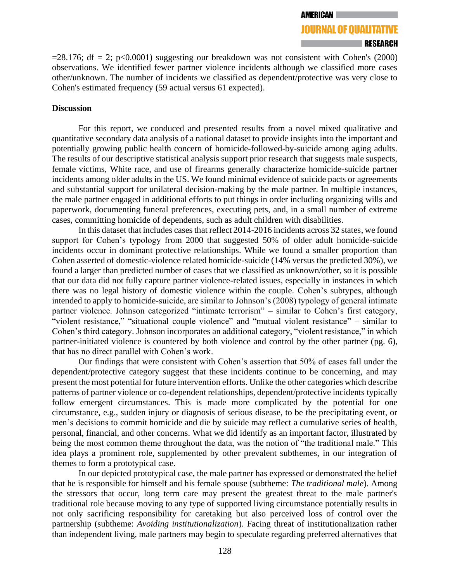**JOURNAL OF QUALITATIVE** RESEARCH

 $=28.176$ ; df = 2; p<0.0001) suggesting our breakdown was not consistent with Cohen's (2000) observations. We identified fewer partner violence incidents although we classified more cases other/unknown. The number of incidents we classified as dependent/protective was very close to Cohen's estimated frequency (59 actual versus 61 expected).

#### **Discussion**

For this report, we conduced and presented results from a novel mixed qualitative and quantitative secondary data analysis of a national dataset to provide insights into the important and potentially growing public health concern of homicide-followed-by-suicide among aging adults. The results of our descriptive statistical analysis support prior research that suggests male suspects, female victims, White race, and use of firearms generally characterize homicide-suicide partner incidents among older adults in the US. We found minimal evidence of suicide pacts or agreements and substantial support for unilateral decision-making by the male partner. In multiple instances, the male partner engaged in additional efforts to put things in order including organizing wills and paperwork, documenting funeral preferences, executing pets, and, in a small number of extreme cases, committing homicide of dependents, such as adult children with disabilities.

In this dataset that includes cases that reflect 2014-2016 incidents across 32 states, we found support for Cohen's typology from 2000 that suggested 50% of older adult homicide-suicide incidents occur in dominant protective relationships. While we found a smaller proportion than Cohen asserted of domestic-violence related homicide-suicide (14% versus the predicted 30%), we found a larger than predicted number of cases that we classified as unknown/other, so it is possible that our data did not fully capture partner violence-related issues, especially in instances in which there was no legal history of domestic violence within the couple. Cohen's subtypes, although intended to apply to homicide-suicide, are similar to Johnson's (2008) typology of general intimate partner violence. Johnson categorized "intimate terrorism" – similar to Cohen's first category, "violent resistance," "situational couple violence" and "mutual violent resistance" – similar to Cohen's third category. Johnson incorporates an additional category, "violent resistance," in which partner-initiated violence is countered by both violence and control by the other partner (pg. 6), that has no direct parallel with Cohen's work.

Our findings that were consistent with Cohen's assertion that 50% of cases fall under the dependent/protective category suggest that these incidents continue to be concerning, and may present the most potential for future intervention efforts. Unlike the other categories which describe patterns of partner violence or co-dependent relationships, dependent/protective incidents typically follow emergent circumstances. This is made more complicated by the potential for one circumstance, e.g., sudden injury or diagnosis of serious disease, to be the precipitating event, or men's decisions to commit homicide and die by suicide may reflect a cumulative series of health, personal, financial, and other concerns. What we did identify as an important factor, illustrated by being the most common theme throughout the data, was the notion of "the traditional male." This idea plays a prominent role, supplemented by other prevalent subthemes, in our integration of themes to form a prototypical case.

In our depicted prototypical case, the male partner has expressed or demonstrated the belief that he is responsible for himself and his female spouse (subtheme: *The traditional male*). Among the stressors that occur, long term care may present the greatest threat to the male partner's traditional role because moving to any type of supported living circumstance potentially results in not only sacrificing responsibility for caretaking but also perceived loss of control over the partnership (subtheme: *Avoiding institutionalization*). Facing threat of institutionalization rather than independent living, male partners may begin to speculate regarding preferred alternatives that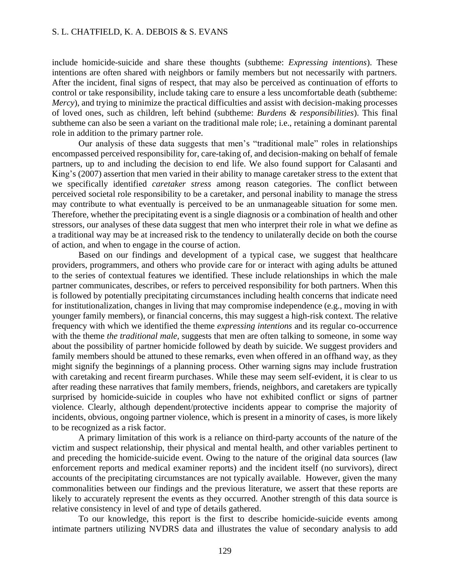include homicide-suicide and share these thoughts (subtheme: *Expressing intentions*). These intentions are often shared with neighbors or family members but not necessarily with partners. After the incident, final signs of respect, that may also be perceived as continuation of efforts to control or take responsibility, include taking care to ensure a less uncomfortable death (subtheme: *Mercy*), and trying to minimize the practical difficulties and assist with decision-making processes of loved ones, such as children, left behind (subtheme: *Burdens & responsibilities*). This final subtheme can also be seen a variant on the traditional male role; i.e., retaining a dominant parental role in addition to the primary partner role.

Our analysis of these data suggests that men's "traditional male" roles in relationships encompassed perceived responsibility for, care-taking of, and decision-making on behalf of female partners, up to and including the decision to end life. We also found support for Calasanti and King's (2007) assertion that men varied in their ability to manage caretaker stress to the extent that we specifically identified *caretaker stress* among reason categories. The conflict between perceived societal role responsibility to be a caretaker, and personal inability to manage the stress may contribute to what eventually is perceived to be an unmanageable situation for some men. Therefore, whether the precipitating event is a single diagnosis or a combination of health and other stressors, our analyses of these data suggest that men who interpret their role in what we define as a traditional way may be at increased risk to the tendency to unilaterally decide on both the course of action, and when to engage in the course of action.

Based on our findings and development of a typical case, we suggest that healthcare providers, programmers, and others who provide care for or interact with aging adults be attuned to the series of contextual features we identified. These include relationships in which the male partner communicates, describes, or refers to perceived responsibility for both partners. When this is followed by potentially precipitating circumstances including health concerns that indicate need for institutionalization, changes in living that may compromise independence (e.g., moving in with younger family members), or financial concerns, this may suggest a high-risk context. The relative frequency with which we identified the theme *expressing intentions* and its regular co-occurrence with the theme *the traditional male,* suggests that men are often talking to someone, in some way about the possibility of partner homicide followed by death by suicide. We suggest providers and family members should be attuned to these remarks, even when offered in an offhand way, as they might signify the beginnings of a planning process. Other warning signs may include frustration with caretaking and recent firearm purchases. While these may seem self-evident, it is clear to us after reading these narratives that family members, friends, neighbors, and caretakers are typically surprised by homicide-suicide in couples who have not exhibited conflict or signs of partner violence. Clearly, although dependent/protective incidents appear to comprise the majority of incidents, obvious, ongoing partner violence, which is present in a minority of cases, is more likely to be recognized as a risk factor.

A primary limitation of this work is a reliance on third-party accounts of the nature of the victim and suspect relationship, their physical and mental health, and other variables pertinent to and preceding the homicide-suicide event. Owing to the nature of the original data sources (law enforcement reports and medical examiner reports) and the incident itself (no survivors), direct accounts of the precipitating circumstances are not typically available. However, given the many commonalities between our findings and the previous literature, we assert that these reports are likely to accurately represent the events as they occurred. Another strength of this data source is relative consistency in level of and type of details gathered.

To our knowledge, this report is the first to describe homicide-suicide events among intimate partners utilizing NVDRS data and illustrates the value of secondary analysis to add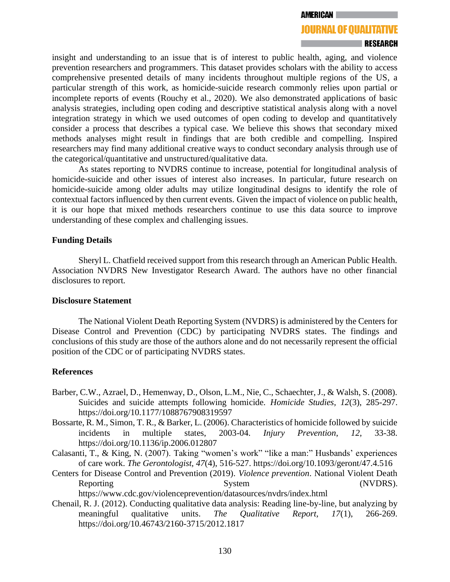## **JOURNAL OF QUALITATIVE**

#### RESEARCH

insight and understanding to an issue that is of interest to public health, aging, and violence prevention researchers and programmers. This dataset provides scholars with the ability to access comprehensive presented details of many incidents throughout multiple regions of the US, a particular strength of this work, as homicide-suicide research commonly relies upon partial or incomplete reports of events (Rouchy et al., 2020). We also demonstrated applications of basic analysis strategies, including open coding and descriptive statistical analysis along with a novel integration strategy in which we used outcomes of open coding to develop and quantitatively consider a process that describes a typical case. We believe this shows that secondary mixed methods analyses might result in findings that are both credible and compelling. Inspired researchers may find many additional creative ways to conduct secondary analysis through use of the categorical/quantitative and unstructured/qualitative data.

As states reporting to NVDRS continue to increase, potential for longitudinal analysis of homicide-suicide and other issues of interest also increases. In particular, future research on homicide-suicide among older adults may utilize longitudinal designs to identify the role of contextual factors influenced by then current events. Given the impact of violence on public health, it is our hope that mixed methods researchers continue to use this data source to improve understanding of these complex and challenging issues.

#### **Funding Details**

Sheryl L. Chatfield received support from this research through an American Public Health. Association NVDRS New Investigator Research Award. The authors have no other financial disclosures to report.

#### **Disclosure Statement**

The National Violent Death Reporting System (NVDRS) is administered by the Centers for Disease Control and Prevention (CDC) by participating NVDRS states. The findings and conclusions of this study are those of the authors alone and do not necessarily represent the official position of the CDC or of participating NVDRS states.

#### **References**

- Barber, C.W., Azrael, D., Hemenway, D., Olson, L.M., Nie, C., Schaechter, J., & Walsh, S. (2008). Suicides and suicide attempts following homicide. *Homicide Studies, 12*(3), 285-297. https://doi.org/10.1177/1088767908319597
- Bossarte, R. M., Simon, T. R., & Barker, L. (2006). Characteristics of homicide followed by suicide incidents in multiple states, 2003-04. *Injury Prevention*, *12*, 33-38. https://doi.org/10.1136/ip.2006.012807
- Calasanti, T., & King, N. (2007). Taking "women's work" "like a man:" Husbands' experiences of care work. *The Gerontologist, 47*(4), 516-527. https://doi.org/10.1093/geront/47.4.516
- Centers for Disease Control and Prevention (2019). *Violence prevention*. National Violent Death Reporting System System (NVDRS).

https://www.cdc.gov/violenceprevention/datasources/nvdrs/index.html

Chenail, R. J. (2012). Conducting qualitative data analysis: Reading line-by-line, but analyzing by meaningful qualitative units. *The Qualitative Report, 17*(1), 266-269. https://doi.org/10.46743/2160-3715/2012.1817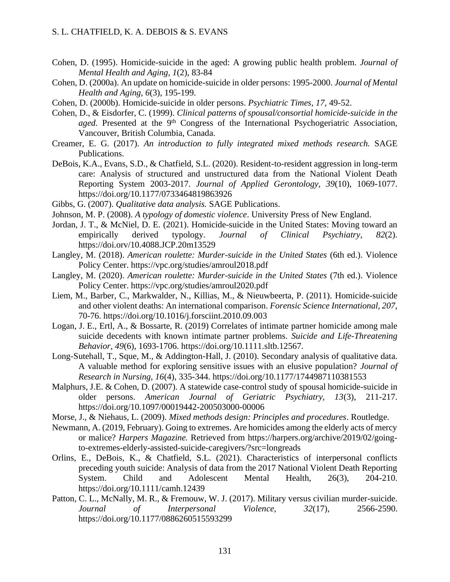- Cohen, D. (1995). Homicide-suicide in the aged: A growing public health problem. *Journal of Mental Health and Aging, 1*(2), 83-84
- Cohen, D. (2000a). An update on homicide-suicide in older persons: 1995-2000. *Journal of Mental Health and Aging, 6*(3), 195-199.
- Cohen, D. (2000b). Homicide-suicide in older persons. *Psychiatric Times, 17,* 49-52.
- Cohen, D., & Eisdorfer, C. (1999). *Clinical patterns of spousal/consortial homicide-suicide in the*  aged. Presented at the 9<sup>th</sup> Congress of the International Psychogeriatric Association, Vancouver, British Columbia, Canada.
- Creamer, E. G. (2017). *An introduction to fully integrated mixed methods research.* SAGE Publications.
- DeBois, K.A., Evans, S.D., & Chatfield, S.L. (2020). Resident-to-resident aggression in long-term care: Analysis of structured and unstructured data from the National Violent Death Reporting System 2003-2017. *Journal of Applied Gerontology, 39*(10), 1069-1077. https://doi.org/10.1177/0733464819863926
- Gibbs, G. (2007). *Qualitative data analysis.* SAGE Publications.
- Johnson, M. P. (2008). *A typology of domestic violence*. University Press of New England.
- Jordan, J. T., & McNiel, D. E. (2021). Homicide-suicide in the United States: Moving toward an empirically derived typology. *Journal of Clinical Psychiatry*, *82*(2). https://doi.orv/10.4088.JCP.20m13529
- Langley, M. (2018). *American roulette: Murder-suicide in the United States* (6th ed.). Violence Policy Center. https://vpc.org/studies/amroul2018.pdf
- Langley, M. (2020). *American roulette: Murder-suicide in the United States* (7th ed.). Violence Policy Center. https://vpc.org/studies/amroul2020.pdf
- Liem, M., Barber, C., Markwalder, N., Killias, M., & Nieuwbeerta, P. (2011). Homicide-suicide and other violent deaths: An international comparison. *Forensic Science International, 207*, 70-76. https://doi.org/10.1016/j.forsciint.2010.09.003
- Logan, J. E., Ertl, A., & Bossarte, R. (2019) Correlates of intimate partner homicide among male suicide decedents with known intimate partner problems. *Suicide and Life-Threatening Behavior, 49*(6), 1693-1706. https://doi.org/10.1111.sltb.12567.
- Long-Sutehall, T., Sque, M., & Addington-Hall, J. (2010). Secondary analysis of qualitative data. A valuable method for exploring sensitive issues with an elusive population? *Journal of Research in Nursing, 16*(4), 335-344. https://doi.org/10.1177/1744987110381553
- Malphurs, J.E. & Cohen, D. (2007). A statewide case-control study of spousal homicide-suicide in older persons. *American Journal of Geriatric Psychiatry, 13*(3), 211-217. https://doi.org/10.1097/00019442-200503000-00006
- Morse, J., & Niehaus, L. (2009). *Mixed methods design: Principles and procedures*. Routledge.
- Newmann, A. (2019, February). Going to extremes. Are homicides among the elderly acts of mercy or malice? *Harpers Magazine.* Retrieved from https://harpers.org/archive/2019/02/goingto-extremes-elderly-assisted-suicide-caregivers/?src=longreads
- Orlins, E., DeBois, K., & Chatfield, S.L. (2021). Characteristics of interpersonal conflicts preceding youth suicide: Analysis of data from the 2017 National Violent Death Reporting System. Child and Adolescent Mental Health, 26(3), 204-210. https://doi.org/10.1111/camh.12439
- Patton, C. L., McNally, M. R., & Fremouw, W. J. (2017). Military versus civilian murder-suicide. *Journal of Interpersonal Violence, 32*(17), 2566-2590. https://doi.org/10.1177/0886260515593299